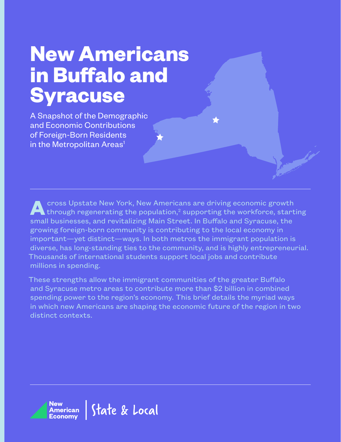## **New Americans in Buffalo and Syracuse**

A Snapshot of the Demographic and Economic Contributions of Foreign-Born Residents in the Metropolitan Areas<sup>1</sup>

**A**cross Upstate New York, New Americans are driving economic growth through regenerating the population, $^2$  supporting the workforce, starting small businesses, and revitalizing Main Street. In Buffalo and Syracuse, the growing foreign-born community is contributing to the local economy in important—yet distinct—ways. In both metros the immigrant population is diverse, has long-standing ties to the community, and is highly entrepreneurial. Thousands of international students support local jobs and contribute millions in spending.

These strengths allow the immigrant communities of the greater Buffalo and Syracuse metro areas to contribute more than \$2 billion in combined spending power to the region's economy. This brief details the myriad ways in which new Americans are shaping the economic future of the region in two distinct contexts.

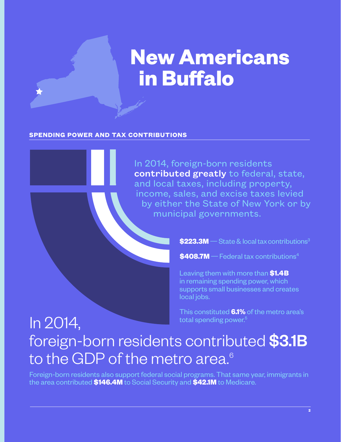# **New Americans in Buffalo**

### **SPENDING POWER AND TAX CONTRIBUTIONS**

In 2014, foreign-born residents contributed greatly to federal, state, and local taxes, including property, income, sales, and excise taxes levied by either the State of New York or by municipal governments.

 $$223.3M$   $-$  State & local tax contributions<sup>3</sup>

**\$408.7M**—Federal tax contributions4

Leaving them with more than **\$1.4B** in remaining spending power, which supports small businesses and creates local jobs.

This constituted **6.1%** of the metro area's total spending power.<sup>5</sup>

### In 2014, foreign-born residents contributed \$3.1B to the GDP of the metro area.<sup>6</sup>

Foreign-born residents also support federal social programs. That same year, immigrants in the area contributed **\$146.4M** to Social Security and **\$42.1M** to Medicare.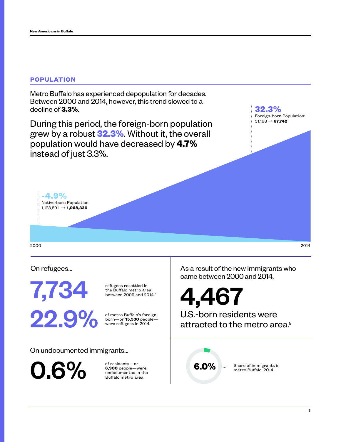### **POPULATION**

Metro Buffalo has experienced depopulation for decades. Between 2000 and 2014, however, this trend slowed to a decline of **3.3%**.

During this period, the foreign-born population grew by a robust **32.3%**. Without it, the overall population would have decreased by **4.7%** instead of just 3.3%.

**32.3%** Foreign-born Population: 51,198 → **67,742**

2000 2014

On refugees...

**-4.9%**

Native-born Population: 1,123,891 → **1,068,336**

7,734

refugees resettled in the Buffalo metro area between 2009 and 2014.<sup>7</sup>

of metro Buffalo's foreignborn—or **15,530** people were refugees in 2014.

On undocumented immigrants...

0.6%

of residents—or **6,900** people—were undocumented in the Buffalo metro area.

As a result of the new immigrants who came between 2000 and 2014,

4,467 U.S.-born residents were **22.9%** of metro Buffalo's foreign-<br>
were refugees in 2014. attracted to the metro area.<sup>8</sup>



Share of immigrants in metro Buffalo, 2014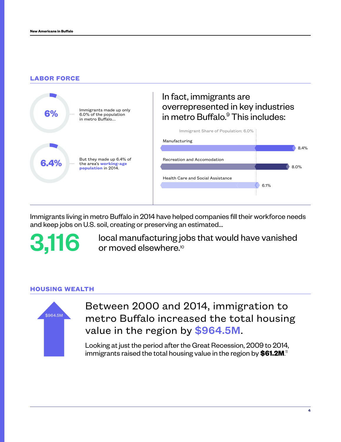### **LABOR FORCE**



Immigrants living in metro Buffalo in 2014 have helped companies fill their workforce needs and keep jobs on U.S. soil, creating or preserving an estimated...

3,116

local manufacturing jobs that would have vanished or moved elsewhere.10

### **HOUSING WEALTH**



Between 2000 and 2014, immigration to metro Buffalo increased the total housing value in the region by \$964.5M.

Looking at just the period after the Great Recession, 2009 to 2014, immigrants raised the total housing value in the region by **\$61.2M**. 11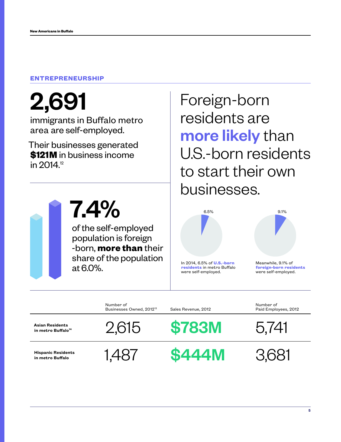### **ENTREPRENEURSHIP**

2,691

immigrants in Buffalo metro area are self-employed.

Their businesses generated **\$121M** in business income in 2014.<sup>12</sup>



7.4%

of the self-employed population is foreign -born, **more than** their share of the population at 6.0%.

Foreign-born residents are more likely than U.S.-born residents to start their own businesses.



6.5%

**residents** in metro Buffalo were self-employed.



Meanwhile, 9.1% of **foreign-born residents** were self-employed.

Number of Businesses Owned, 2012<sup>13</sup> Sales Revenue, 2012

**Asian Residents**

**Hispanic Residents** 





Hispanic Residents 1,487 **\$444M** 3,681

Number of Paid Employees, 2012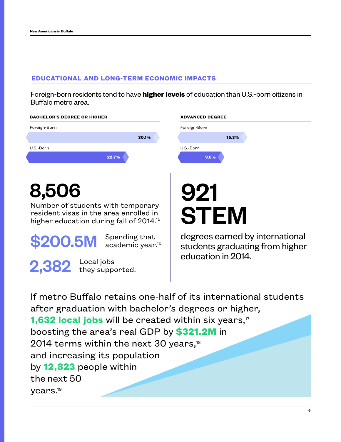### **EDUCATIONAL AND LONG-TERM ECONOMIC IMPACTS**

Foreign-born residents tend to have **higher levels** of education than U.S.-born citizens in Buffalo metro area.

| <b>BACHELOR'S DEGREE OR HIGHER</b>                                                                                                 | <b>ADVANCED DEGREE</b>                                             |  |
|------------------------------------------------------------------------------------------------------------------------------------|--------------------------------------------------------------------|--|
| Foreign-Born                                                                                                                       | Foreign-Born                                                       |  |
| 30.1%                                                                                                                              | 15.3%                                                              |  |
| U.S.-Born                                                                                                                          | U.S.-Born                                                          |  |
| 22.7%                                                                                                                              | 9.6%                                                               |  |
| 8,506                                                                                                                              |                                                                    |  |
|                                                                                                                                    | 921                                                                |  |
| Number of students with temporary<br>resident visas in the area enrolled in<br>higher education during fall of 2014. <sup>15</sup> | <b>STEM</b>                                                        |  |
| Spending that<br>\$200.5M<br>academic year. <sup>16</sup>                                                                          | degrees earned by international<br>students graduating from higher |  |
| 2,382 Local jobs<br>they supported.                                                                                                | education in 2014.                                                 |  |

If metro Buffalo retains one-half of its international students after graduation with bachelor's degrees or higher, **1,632 local jobs** will be created within six years,<sup>17</sup> boosting the area's real GDP by **\$321.2M** in 2014 terms within the next 30 years,<sup>18</sup> and increasing its population by **12,823** people within the next 50 years.19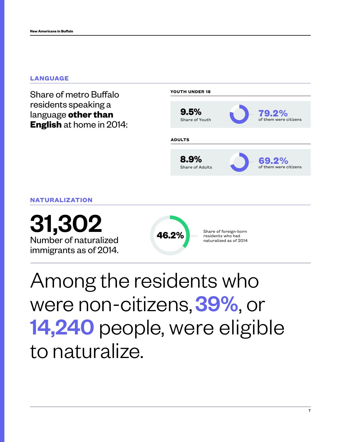#### **LANGUAGE**

Share of metro Buffalo residents speaking a language **other than English** at home in 2014:



**NATURALIZATION**

Number of naturalized  $\frac{31,302}{\text{Number of naturalized}}$ <br>  $\frac{46.2\% \text{ linear of force is the total number of naturalized as of 2014}}{\text{naturalized as of 2014}}$ 



Share of foreign-born<br>residents who had naturalized as of 2014

Among the residents who were non-citizens, 39%, or 14,240 people, were eligible to naturalize.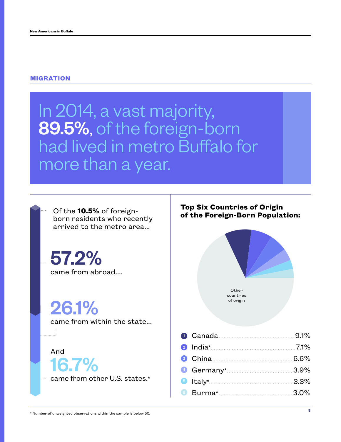#### **MIGRATION**

### In 2014, a vast majority, 89.5%, of the foreign-born had lived in metro Buffalo for more than a year.

born residents who recently arrived to the metro area...

57.2% came from abroad....

26.1%

came from within the state...

And 16.7%

came from other U.S. states.\*

### **Top Six Countries of Origin of the 10.5%** of foreign-<br>**of the Foreign-Born Population:**

of origin



| Canada 9.1%        |  |
|--------------------|--|
|                    |  |
| 8 China 6.6%       |  |
|                    |  |
|                    |  |
| <b>Burma*</b> 8.0% |  |
|                    |  |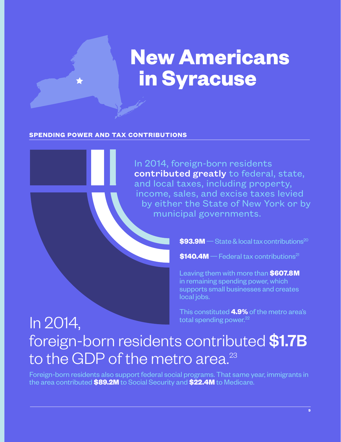# **New Americans in Syracuse**

### **SPENDING POWER AND TAX CONTRIBUTIONS**

In 2014, foreign-born residents contributed greatly to federal, state, and local taxes, including property, income, sales, and excise taxes levied by either the State of New York or by municipal governments.

 $$93.9M$   $-$  State & local tax contributions<sup>20</sup>

 $$140.4M$  – Federal tax contributions<sup>21</sup>

Leaving them with more than **\$607.8M** in remaining spending power, which supports small businesses and creates local jobs.

This constituted **4.9%** of the metro area's total spending power. $^{22}$ 

### In 2014, foreign-born residents contributed \$1.7B to the GDP of the metro area.<sup>23</sup>

Foreign-born residents also support federal social programs. That same year, immigrants in the area contributed **\$89.2M** to Social Security and **\$22.4M** to Medicare.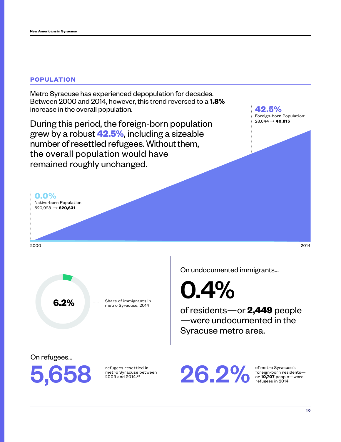### **POPULATION**

**0.0%**

Native-born Population: 620,928 → **620,631**

Metro Syracuse has experienced depopulation for decades. Between 2000 and 2014, however, this trend reversed to a **1.8%** increase in the overall population.

During this period, the foreign-born population grew by a robust **42.5%**, including a sizeable number of resettled refugees. Without them, the overall population would have remained roughly unchanged.

**42.5%** Foreign-born Population: 28,644 → **40,815**

2000 2014

Share of immigrants in metro Syracuse, 2014 metro Syracuse, 2014

On undocumented immigrants...

0.4%

of residents—or **2,449** people —were undocumented in the Syracuse metro area.

On refugees...



refugees resettled in metro Syracuse between 2009 and 2014.<sup>24</sup>

of metro Syracuse's foreign-born residents— or **10,707** people—were refugees in 2014.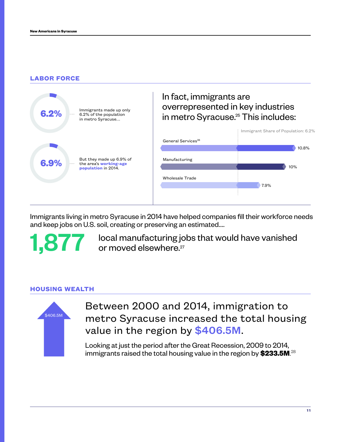### **LABOR FORCE**



Immigrants living in metro Syracuse in 2014 have helped companies fill their workforce needs and keep jobs on U.S. soil, creating or preserving an estimated....

1,877 local manufacturing jc<br>or moved elsewhere.<sup>27</sup> local manufacturing jobs that would have vanished

### **HOUSING WEALTH**



Between 2000 and 2014, immigration to metro Syracuse increased the total housing value in the region by \$406.5M.

Looking at just the period after the Great Recession, 2009 to 2014, immigrants raised the total housing value in the region by **\$233.5M**. 28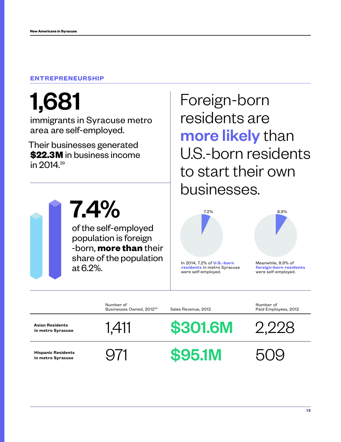### **ENTREPRENEURSHIP**

# 1,681

immigrants in Syracuse metro area are self-employed.

Their businesses generated **\$22.3M** in business income in 2014.<sup>29</sup>



7.4%

of the self-employed population is foreign -born, **more than** their share of the population at 6.2%.

Foreign-born residents are more likely than U.S.-born residents to start their own businesses.



**residents** in metro Syracuse were self-employed.



Meanwhile, 8.9% of **foreign-born residents** were self-employed.

|                                                | Number of<br>Businesses Owned, 2012 <sup>30</sup> | Sales Revenue, 2012 | Number of<br>Paid Employees, 2012 |
|------------------------------------------------|---------------------------------------------------|---------------------|-----------------------------------|
| <b>Asian Residents</b><br>in metro Syracuse    | 1,411                                             | <b>\$301.6M</b>     | ソソソ8                              |
| <b>Hispanic Residents</b><br>in metro Syracuse |                                                   | <b>\$95.1M</b>      |                                   |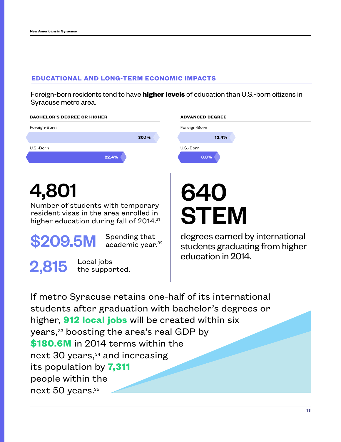### **EDUCATIONAL AND LONG-TERM ECONOMIC IMPACTS**

Foreign-born residents tend to have **higher levels** of education than U.S.-born citizens in Syracuse metro area.

| <b>BACHELOR'S DEGREE OR HIGHER</b>                                                                                                          | <b>ADVANCED DEGREE</b>                                                                   |
|---------------------------------------------------------------------------------------------------------------------------------------------|------------------------------------------------------------------------------------------|
| Foreign-Born                                                                                                                                | Foreign-Born                                                                             |
| 30.1%                                                                                                                                       | 12.4%                                                                                    |
| U.S.-Born                                                                                                                                   | U.S.-Born                                                                                |
| 22.4%                                                                                                                                       | 8.8%                                                                                     |
|                                                                                                                                             |                                                                                          |
| 4,801<br>Number of students with temporary<br>resident visas in the area enrolled in<br>higher education during fall of 2014. <sup>31</sup> | 640<br><b>STEM</b>                                                                       |
| Spending that<br>\$209.5M<br>academic year. <sup>32</sup><br>Local jobs<br>2,815<br>the supported.                                          | degrees earned by international<br>students graduating from higher<br>education in 2014. |

If metro Syracuse retains one-half of its international students after graduation with bachelor's degrees or higher, **912 local jobs** will be created within six years,33 boosting the area's real GDP by **\$180.6M** in 2014 terms within the next 30 years,<sup>34</sup> and increasing its population by **7,311** people within the next 50 years.35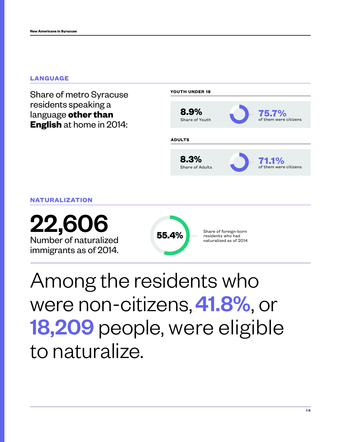### **LANGUAGE**

Share of metro Syracuse residents speaking a language **other than English** at home in 2014:



**NATURALIZATION**

Number of naturalized **22,606**<br>
Number of naturalized<br>
immigrants as of 2014.



Among the residents who were non-citizens, 41.8%, or 18,209 people, were eligible to naturalize.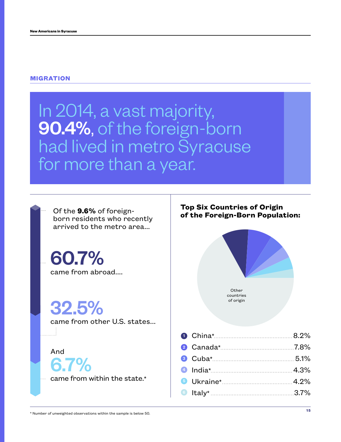#### **MIGRATION**

### In 2014, a vast majority, 90.4%, of the foreign-born had lived in metro Syracuse for more than a year.

Of the **9.6%** of foreignborn residents who recently arrived to the metro area...

60.7% came from abroad....

32.5%

came from other U.S. states...

#### And

6.7%

came from within the state.\*

### **Top Six Countries of Origin of the Foreign-Born Population:**



| 2 Canada* 7.8%               |  |
|------------------------------|--|
| 8 Cuba* 5.1%                 |  |
| 4.3% India*                  |  |
| <b>6</b> Ukraine* <u>12%</u> |  |
| 6 Italy* 2.7%                |  |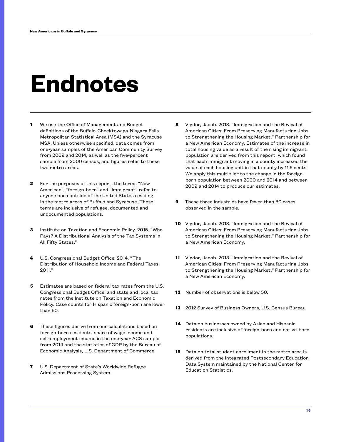# **Endnotes**

- **1** We use the Office of Management and Budget definitions of the Buffalo-Cheektowaga-Niagara Falls Metropolitan Statistical Area (MSA) and the Syracuse MSA. Unless otherwise specified, data comes from one-year samples of the American Community Survey from 2009 and 2014, as well as the five-percent sample from 2000 census, and figures refer to these two metro areas.
- **2** For the purposes of this report, the terms "New American", "foreign-born" and "immigrant" refer to anyone born outside of the United States residing in the metro areas of Buffalo and Syracuse. These terms are inclusive of refugee, documented and undocumented populations.
- **3** Institute on Taxation and Economic Policy. 2015. "Who Pays? A Distributional Analysis of the Tax Systems in All Fifty States."
- **4** U.S. Congressional Budget Office. 2014. "The Distribution of Household Income and Federal Taxes, 2011."
- **5** Estimates are based on federal tax rates from the U.S. Congressional Budget Office, and state and local tax rates from the Institute on Taxation and Economic Policy. Case counts for Hispanic foreign-born are lower than 50.
- **6** These figures derive from our calculations based on foreign-born residents' share of wage income and self-employment income in the one-year ACS sample from 2014 and the statistics of GDP by the Bureau of Economic Analysis, U.S. Department of Commerce.
- **7** U.S. Department of State's Worldwide Refugee Admissions Processing System.
- **8** Vigdor, Jacob. 2013. "Immigration and the Revival of American Cities: From Preserving Manufacturing Jobs to Strengthening the Housing Market." Partnership for a New American Economy. Estimates of the increase in total housing value as a result of the rising immigrant population are derived from this report, which found that each immigrant moving in a county increased the value of each housing unit in that county by 11.6 cents. We apply this multiplier to the change in the foreignborn population between 2000 and 2014 and between 2009 and 2014 to produce our estimates.
- **9** These three industries have fewer than 50 cases observed in the sample.
- **10** Vigdor, Jacob. 2013. "Immigration and the Revival of American Cities: From Preserving Manufacturing Jobs to Strengthening the Housing Market." Partnership for a New American Economy.
- **11** Vigdor, Jacob. 2013. "Immigration and the Revival of American Cities: From Preserving Manufacturing Jobs to Strengthening the Housing Market." Partnership for a New American Economy.
- **12** Number of observations is below 50.
- **13** 2012 Survey of Business Owners, U.S. Census Bureau
- **14** Data on businesses owned by Asian and Hispanic residents are inclusive of foreign-born and native-born populations.
- **15** Data on total student enrollment in the metro area is derived from the Integrated Postsecondary Education Data System maintained by the National Center for Education Statistics.